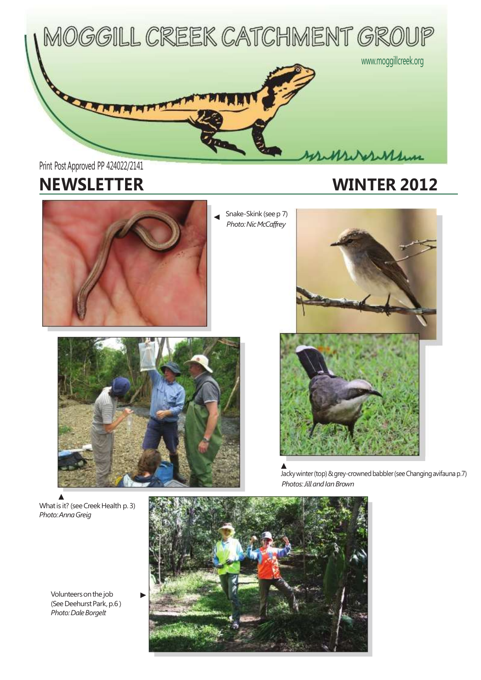

# Print Post Approved PP 424022/2141

# **NEWSLETTER WINTER 2012**



Snake-Skink (seep 7) **Photo: Nic McCaffrey** 



What is it? (see Creek Health p. 3) *Photo:AnnaGreig*

Volunteers on the job (See Deehurst Park, p.6) **Photo: Dale Borgelt** 





Jacky winter (top) & grey-crowned babbler (see Changing avifauna p.7) **Photos: Jill and Ian Brown**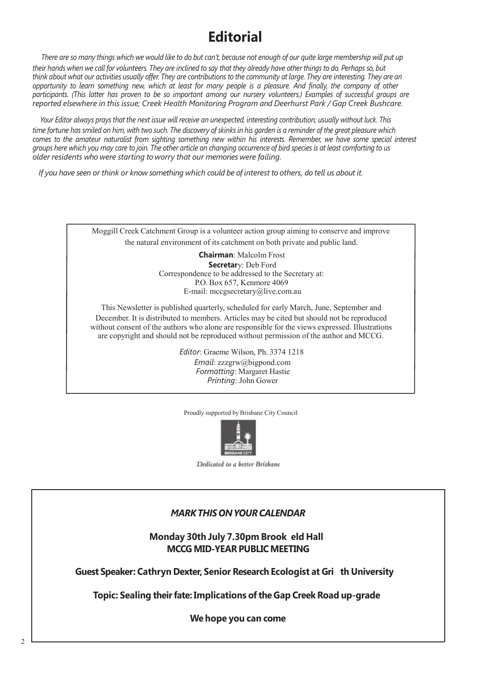## **Editorial**

There are so many things which we would like to do but can't, because not enough of our quite large membership will put up their hands when we call for volunteers. They are inclined to say that they already have other things to do. Perhaps so, but think about what our activities usually offer. They are contributions to the community at large. They are interesting. They are an opportunity to learn something new which at least for many people is a pleasure. And finally, the company of other participants. (This latter has proven to be so important among our nursery volunteers.) Examples of successful groups are *reported elsewhere in this issue; Creek Health Monitoring Program and Deerhurst Park / Gap Creek Bushcare.*

Your Editor always prays that the next issue will receive an unexpected, interesting contribution; usually without luck. This time fortune has smiled on him, with two such. The discovery of skinks in his garden is a reminder of the great pleasure which comes to the amateur naturalist from sighting something new within his interests. Remember, we have some special interest groups here which you may care to join. The other article on changing occurrence of bird species is at least comforting to us *older residents who were starting to worry that our memories were failing.*

If you have seen or think or know something which could be of interest to others, do tell us about it.



Proudly supported by Brisbane City Council



Dedicated to a better Brisbane

#### *MARKTHISONYOURCALENDAR*

**Monday 30th July 7.30pm Brook eld Hall MCCG MID-YEAR PUBLIC MEETING**

**Guest Speaker: Cathryn Dexter, Senior Research Ecologist at Gri th University**

**Topic: Sealing theirfate: Implications ofthe Gap Creek Road up-grade**

**We hope you can come**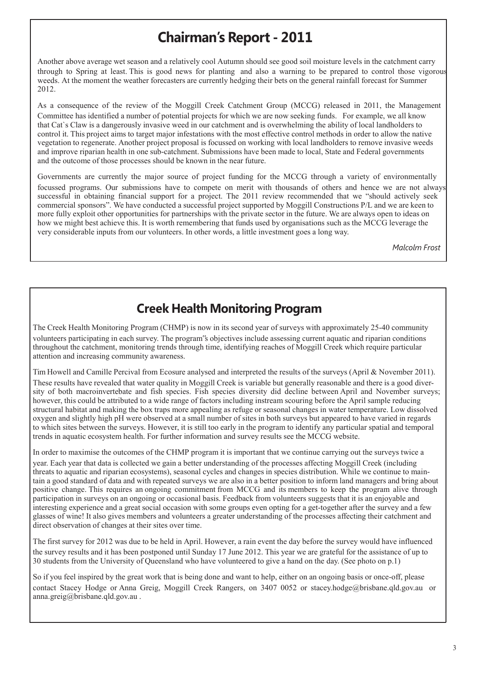## **Chairman's Report - 2011**

Another above average wet season and a relatively cool Autumn should see good soil moisture levels in the catchment carry through to Spring at least. This is good news for planting and also a warning to be prepared to control those vigorous weeds. At the moment the weather forecasters are currently hedging their bets on the general rainfall forecast for Summer 2012.

As a consequence of the review of the Moggill Creek Catchment Group (MCCG) released in 2011, the Management Committee has identified a number of potential projects for which we are now seeking funds. For example, we all know that Cat`s Claw is a dangerously invasive weed in our catchment and is overwhelming the ability of local landholders to control it. This project aims to target major infestations with the most effective control methods in order to allow the native vegetation to regenerate. Another project proposal is focussed on working with local landholders to remove invasive weeds and improve riparian health in one sub-catchment. Submissions have been made to local, State and Federal governments and the outcome of those processes should be known in the near future.

Governments are currently the major source of project funding for the MCCG through a variety of environmentally focussed programs. Our submissions have to compete on merit with thousands of others and hence we are not always successful in obtaining financial support for a project. The 2011 review recommended that we "should actively seek commercial sponsors". We have conducted a successful project supported by Moggill Constructions P/L and we are keen to more fully exploit other opportunities for partnerships with the private sector in the future. We are always open to ideas on how we might best achieve this. It is worth remembering that funds used by organisations such as the MCCG leverage the very considerable inputs from our volunteers. In other words, a little investment goes a long way.

*Malcolm Frost*

#### **Creek Health Monitoring Program**

The Creek Health Monitoring Program (CHMP) is now in its second year of surveys with approximately 25-40 community volunteers participating in each survey. The program"s objectives include assessing current aquatic and riparian conditions throughout the catchment, monitoring trends through time, identifying reaches of Moggill Creek which require particular attention and increasing community awareness.

Tim Howell and Camille Percival from Ecosure analysed and interpreted the results of the surveys (April & November 2011). These results have revealed that water quality in Moggill Creek is variable but generally reasonable and there is a good diversity of both macroinvertebate and fish species. Fish species diversity did decline between April and November surveys; however, this could be attributed to a wide range of factors including instream scouring before the April sample reducing structural habitat and making the box traps more appealing as refuge or seasonal changes in water temperature. Low dissolved oxygen and slightly high pH were observed at a small number of sites in both surveys but appeared to have varied in regards to which sites between the surveys. However, it is still too early in the program to identify any particular spatial and temporal trends in aquatic ecosystem health. For further information and survey results see the MCCG website.

In order to maximise the outcomes of the CHMP program it is important that we continue carrying out the surveys twice a year. Each year that data is collected we gain a better understanding of the processes affecting Moggill Creek (including threats to aquatic and riparian ecosystems), seasonal cycles and changes in species distribution. While we continue to maintain a good standard of data and with repeated surveys we are also in a better position to inform land managers and bring about positive change. This requires an ongoing commitment from MCCG and its members to keep the program alive through participation in surveys on an ongoing or occasional basis. Feedback from volunteers suggests that it is an enjoyable and interesting experience and a great social occasion with some groups even opting for a get-together after the survey and a few glasses of wine! It also gives members and volunteers a greater understanding of the processes affecting their catchment and direct observation of changes at their sites over time.

The first survey for 2012 was due to be held in April. However, a rain event the day before the survey would have influenced the survey results and it has been postponed until Sunday 17 June 2012. This year we are grateful for the assistance of up to 30 students from the University of Queensland who have volunteered to give a hand on the day. (See photo on p.1)

So if you feel inspired by the great work that is being done and want to help, either on an ongoing basis or once-off, please contact Stacey Hodge or Anna Greig, Moggill Creek Rangers, on 3407 0052 or stacey.hodge@brisbane.qld.gov.au or anna.greig@brisbane.qld.gov.au .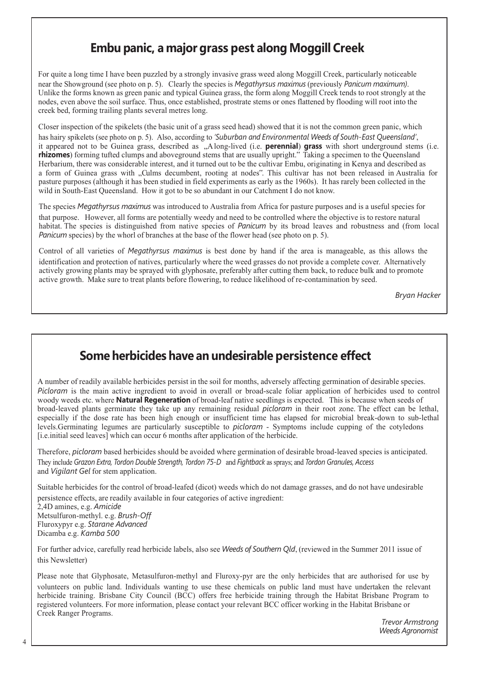#### **Embu panic, a major grass pest along Moggill Creek**

For quite a long time I have been puzzled by a strongly invasive grass weed along Moggill Creek, particularly noticeable near the Showground (see photo on p. 5). Clearly the species is *Megathyrsus maximus* (previously *Panicum maximum)*. Unlike the forms known as green panic and typical Guinea grass, the form along Moggill Creek tends to root strongly at the nodes, even above the soil surface. Thus, once established, prostrate stems or ones flattened by flooding will root into the creek bed, forming trailing plants several metres long.

Closer inspection of the spikelets (the basic unit of a grass seed head) showed that it is not the common green panic, which has hairy spikelets (see photo on p. 5). Also, according to *'Suburban and Environmental Weeds of South-East Queensland'*, it appeared not to be Guinea grass, described as "Along-lived (i.e. **perennial**) **grass** with short underground stems (i.e. **rhizomes**) forming tufted clumps and aboveground stems that are usually upright." Taking a specimen to the Queensland Herbarium, there was considerable interest, and it turned out to be the cultivar Embu, originating in Kenya and described as a form of Guinea grass with "Culms decumbent, rooting at nodes". This cultivar has not been released in Australia for pasture purposes (although it has been studied in field experiments as early as the 1960s). It has rarely been collected in the wild in South-East Queensland. How it got to be so abundant in our Catchment I do not know.

The species *Megathyrsus maximus* was introduced to Australia from Africa for pasture purposes and is a useful species for that purpose. However, all forms are potentially weedy and need to be controlled where the objective is to restore natural habitat. The species is distinguished from native species of *Panicum* by its broad leaves and robustness and (from local *Panicum* species) by the whorl of branches at the base of the flower head (see photo on p. 5).

Control of all varieties of *Megathyrsus maximus* is best done by hand if the area is manageable, as this allows the identification and protection of natives, particularly where the weed grasses do not provide a complete cover. Alternatively actively growing plants may be sprayed with glyphosate, preferably after cutting them back, to reduce bulk and to promote active growth. Make sure to treat plants before flowering, to reduce likelihood of re-contamination by seed.

*Bryan Hacker*

#### **Some herbicides have an undesirable persistence effect**

A number of readily available herbicides persist in the soil for months, adversely affecting germination of desirable species. *Picloram* is the main active ingredient to avoid in overall or broad-scale foliar application of herbicides used to control woody weeds etc. where **Natural Regeneration** of broad-leaf native seedlings is expected. This is because when seeds of broad-leaved plants germinate they take up any remaining residual *picloram* in their root zone. The effect can be lethal, especially if the dose rate has been high enough or insufficient time has elapsed for microbial break-down to sub-lethal levels.Germinating legumes are particularly susceptible to *picloram* - Symptoms include cupping of the cotyledons [i.e.initial seed leaves] which can occur 6 months after application of the herbicide.

Therefore, *picloram* based herbicides should be avoided where germination of desirable broad-leaved species is anticipated. They include *Grazon Extra, Tordon Double Strength, Tordon 75-D* and *Fightback* as sprays; and *Tordon Granules, Access* and *Vigilant Gel* for stem application.

Suitable herbicides for the control of broad-leafed (dicot) weeds which do not damage grasses, and do not have undesirable persistence effects, are readily available in four categories of active ingredient:

2,4D amines, e.g. *Amicide* Metsulfuron-methyl. e.g. *Brush-Off* Fluroxypyr e.g. *Starane Advanced* Dicamba e.g. *Kamba 500*

For further advice, carefully read herbicide labels, also see *Weeds of Southern Qld*, (reviewed in the Summer 2011 issue of this Newsletter)

Please note that Glyphosate, Metasulfuron-methyl and Fluroxy-pyr are the only herbicides that are authorised for use by volunteers on public land. Individuals wanting to use these chemicals on public land must have undertaken the relevant herbicide training. Brisbane City Council (BCC) offers free herbicide training through the Habitat Brisbane Program to registered volunteers. For more information, please contact your relevant BCC officer working in the Habitat Brisbane or Creek Ranger Programs.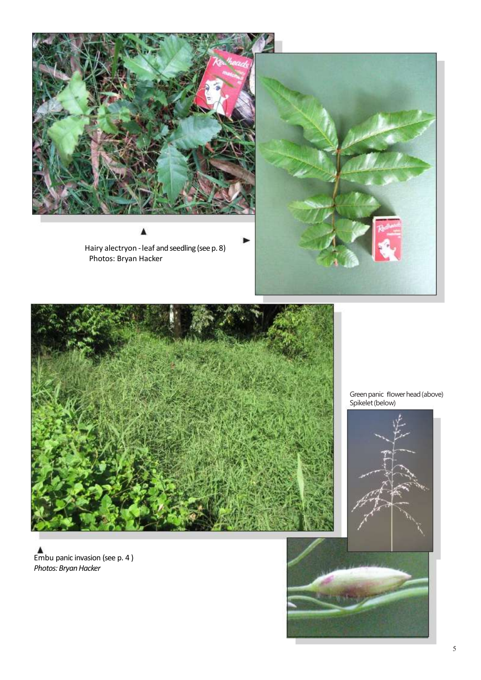

Hairy alectryon - leaf and seedling (see p. 8) Photos: Bryan Hacker





Green panic flower head (above) Spikelet (below)



Embu panic invasion (see p. 4 ) *Photos: Bryan Hacker*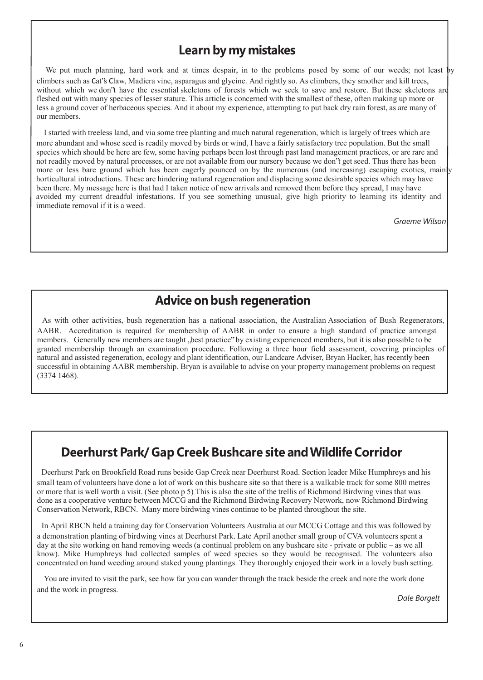#### **Learn by my mistakes**

We put much planning, hard work and at times despair, in to the problems posed by some of our weeds; not least by climbers such as Cat"s Claw, Madiera vine, asparagus and glycine. And rightly so. As climbers, they smother and kill trees, without which we don"t have the essential skeletons of forests which we seek to save and restore. But these skeletons are fleshed out with many species of lesser stature. This article is concerned with the smallest of these, often making up more or less a ground cover of herbaceous species. And it about my experience, attempting to put back dry rain forest, as are many of our members.

I started with treeless land, and via some tree planting and much natural regeneration, which is largely of trees which are more abundant and whose seed is readily moved by birds or wind, I have a fairly satisfactory tree population. But the small species which should be here are few, some having perhaps been lost through past land management practices, or are rare and not readily moved by natural processes, or are not available from our nursery because we don"t get seed. Thus there has been more or less bare ground which has been eagerly pounced on by the numerous (and increasing) escaping exotics, mainly horticultural introductions. These are hindering natural regeneration and displacing some desirable species which may have been there. My message here is that had I taken notice of new arrivals and removed them before they spread, I may have avoided my current dreadful infestations. If you see something unusual, give high priority to learning its identity and immediate removal if it is a weed.

*Graeme Wilson*

## **Advice on bush regeneration**

As with other activities, bush regeneration has a national association, the Australian Association of Bush Regenerators, AABR. Accreditation is required for membership of AABR in order to ensure a high standard of practice amongst members. Generally new members are taught , best practice "by existing experienced members, but it is also possible to be granted membership through an examination procedure. Following a three hour field assessment, covering principles of natural and assisted regeneration, ecology and plant identification, our Landcare Adviser, Bryan Hacker, has recently been successful in obtaining AABR membership. Bryan is available to advise on your property management problems on request (3374 1468).

#### **Deerhurst Park/ Gap Creek Bushcare site andWildlife Corridor**

Deerhurst Park on Brookfield Road runs beside Gap Creek near Deerhurst Road. Section leader Mike Humphreys and his small team of volunteers have done a lot of work on this bushcare site so that there is a walkable track for some 800 metres or more that is well worth a visit. (See photo p 5) This is also the site of the trellis of Richmond Birdwing vines that was done as a cooperative venture between MCCG and the Richmond Birdwing Recovery Network, now Richmond Birdwing Conservation Network, RBCN. Many more birdwing vines continue to be planted throughout the site.

In April RBCN held a training day for Conservation Volunteers Australia at our MCCG Cottage and this was followed by a demonstration planting of birdwing vines at Deerhurst Park. Late April another small group of CVA volunteers spent a day at the site working on hand removing weeds (a continual problem on any bushcare site - private or public – as we all know). Mike Humphreys had collected samples of weed species so they would be recognised. The volunteers also concentrated on hand weeding around staked young plantings. They thoroughly enjoyed their work in a lovely bush setting.

You are invited to visit the park, see how far you can wander through the track beside the creek and note the work done and the work in progress.

*Dale Borgelt*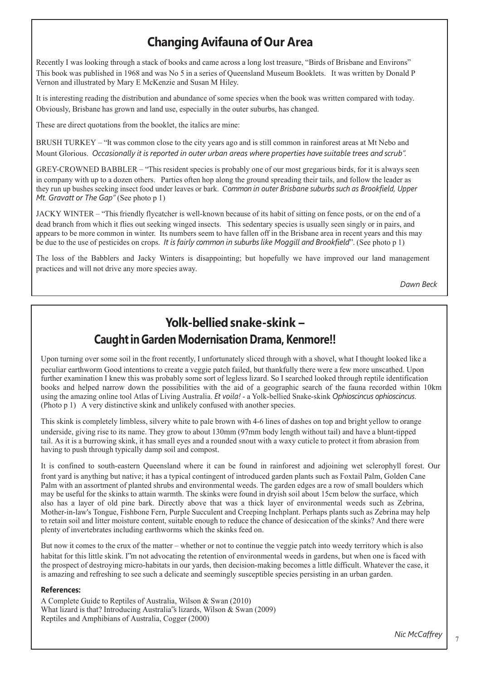#### **Changing Avifauna of Our Area**

Recently I was looking through a stack of books and came across a long lost treasure, "Birds of Brisbane and Environs" This book was published in 1968 and was No 5 in a series of Queensland Museum Booklets. It was written by Donald P Vernon and illustrated by Mary E McKenzie and Susan M Hiley.

It is interesting reading the distribution and abundance of some species when the book was written compared with today. Obviously, Brisbane has grown and land use, especially in the outer suburbs, has changed.

These are direct quotations from the booklet, the italics are mine:

BRUSH TURKEY – "It was common close to the city years ago and is still common in rainforest areas at Mt Nebo and Mount Glorious. Occasionally it is reported in outer urban areas where properties have suitable trees and scrub".

GREY-CROWNED BABBLER – "This resident species is probably one of our most gregarious birds, for it is always seen in company with up to a dozen others. Parties often hop along the ground spreading their tails, and follow the leader as they run up bushes seeking insect food under leaves or bark. C*ommon in outer Brisbane suburbs such as Brookfield, Upper Mt. Gravatt or The Gap"* (See photo p 1)

JACKY WINTER – "This friendly flycatcher is well-known because of its habit of sitting on fence posts, or on the end of a dead branch from which it flies out seeking winged insects. This sedentary species is usually seen singly or in pairs, and appears to be more common in winter. Its numbers seem to have fallen off in the Brisbane area in recent years and this may be due to the use of pesticides on crops. *It is fairly common in suburbslike Moggill and Brookfield*". (See photo p 1)

The loss of the Babblers and Jacky Winters is disappointing; but hopefully we have improved our land management practices and will not drive any more species away.

*Dawn Beck*

### **Yolk-bellied snake-skink – Caughtin Garden Modernisation Drama, Kenmore!!**

Upon turning over some soil in the front recently, I unfortunately sliced through with a shovel, what I thought looked like a peculiar earthworm Good intentions to create a veggie patch failed, but thankfully there were a few more unscathed. Upon further examination I knew this was probably some sort of legless lizard. So I searched looked through reptile identification books and helped narrow down the possibilities with the aid of a geographic search of the fauna recorded within 10km using the amazing online tool Atlas of Living Australia. *Et voila!* - a Yolk-bellied Snake-skink *Ophioscincus ophioscincus*. (Photo p 1) A very distinctive skink and unlikely confused with another species.

This skink is completely limbless, silvery white to pale brown with 4-6 lines of dashes on top and bright yellow to orange underside, giving rise to its name. They grow to about 130mm (97mm body length without tail) and have a blunt-tipped tail. As it is a burrowing skink, it has small eyes and a rounded snout with a waxy cuticle to protect it from abrasion from having to push through typically damp soil and compost.

It is confined to south-eastern Queensland where it can be found in rainforest and adjoining wet sclerophyll forest. Our front yard is anything but native; it has a typical contingent of introduced garden plants such as Foxtail Palm, Golden Cane Palm with an assortment of planted shrubs and environmental weeds. The garden edges are a row of small boulders which may be useful for the skinks to attain warmth. The skinks were found in dryish soil about 15cm below the surface, which also has a layer of old pine bark. Directly above that was a thick layer of environmental weeds such as Zebrina, Mother-in-law's Tongue, Fishbone Fern, Purple Succulent and Creeping Inchplant. Perhaps plants such as Zebrina may help to retain soil and litter moisture content, suitable enough to reduce the chance of desiccation of the skinks? And there were plenty of invertebrates including earthworms which the skinks feed on.

But now it comes to the crux of the matter – whether or not to continue the veggie patch into weedy territory which is also habitat for this little skink. I"m not advocating the retention of environmental weeds in gardens, but when one is faced with the prospect of destroying micro-habitats in our yards, then decision-making becomes a little difficult. Whatever the case, it is amazing and refreshing to see such a delicate and seemingly susceptible species persisting in an urban garden.

#### **References:**

A Complete Guide to Reptiles of Australia, Wilson & Swan (2010) What lizard is that? Introducing Australia"s lizards, Wilson & Swan (2009) Reptiles and Amphibians of Australia, Cogger (2000)